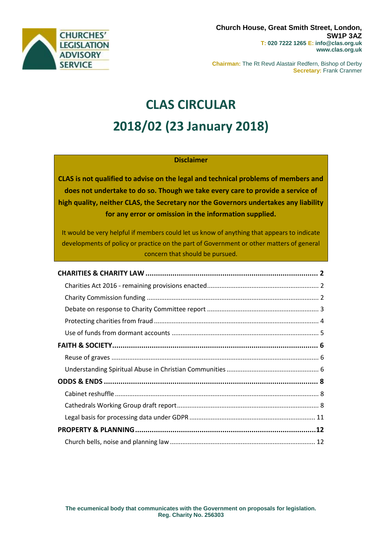

**Chairman:** The Rt Revd Alastair Redfern, Bishop of Derby **Secretary:** Frank Cranmer

# **CLAS CIRCULAR 2018/02 (23 January 2018)**

# **Disclaimer**

**CLAS is not qualified to advise on the legal and technical problems of members and does not undertake to do so. Though we take every care to provide a service of high quality, neither CLAS, the Secretary nor the Governors undertakes any liability for any error or omission in the information supplied.**

It would be very helpful if members could let us know of anything that appears to indicate developments of policy or practice on the part of Government or other matters of general concern that should be pursued.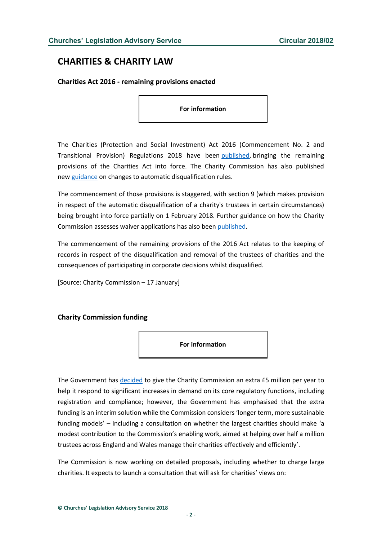# <span id="page-1-0"></span>**CHARITIES & CHARITY LAW**

<span id="page-1-1"></span>**Charities Act 2016 - remaining provisions enacted**

**For information**

The Charities (Protection and Social Investment) Act 2016 (Commencement No. 2 and Transitional Provision) Regulations 2018 have been [published,](http://www.legislation.gov.uk/uksi/2018/47/pdfs/uksi_20180047_en.pdf) bringing the remaining provisions of the Charities Act into force. The Charity Commission has also published new [guidance](http://www.gov.uk/guidance/automatic-disqualification-rule-changes-guidance-for-charities) on changes to automatic disqualification rules.

The commencement of those provisions is staggered, with section 9 (which makes provision in respect of the automatic disqualification of a charity's trustees in certain circumstances) being brought into force partially on 1 February 2018. Further guidance on how the Charity Commission assesses waiver applications has also been [published.](http://www.gov.uk/government/publications/how-the-charity-commission-assesses-waiver-applications-and-makes-a-decision)

The commencement of the remaining provisions of the 2016 Act relates to the keeping of records in respect of the disqualification and removal of the trustees of charities and the consequences of participating in corporate decisions whilst disqualified.

[Source: Charity Commission – 17 January]

## <span id="page-1-2"></span>**Charity Commission funding**



The Government has [decided](http://www.gov.uk/government/news/commission-receives-annual-5m-interim-funding-boost) to give the Charity Commission an extra £5 million per year to help it respond to significant increases in demand on its core regulatory functions, including registration and compliance; however, the Government has emphasised that the extra funding is an interim solution while the Commission considers 'longer term, more sustainable funding models' – including a consultation on whether the largest charities should make 'a modest contribution to the Commission's enabling work, aimed at helping over half a million trustees across England and Wales manage their charities effectively and efficiently'.

The Commission is now working on detailed proposals, including whether to charge large charities. It expects to launch a consultation that will ask for charities' views on: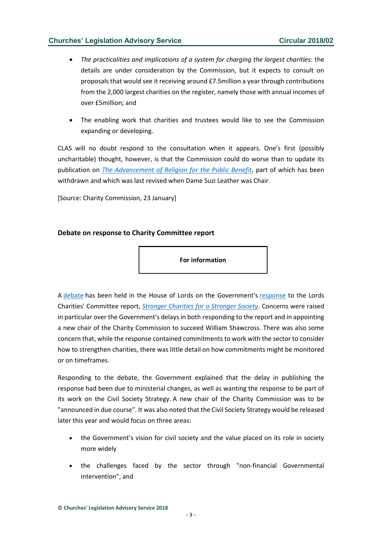- *The practicalities and implications of a system for charging the largest charities*: the details are under consideration by the Commission, but it expects to consult on proposals that would see it receiving around £7.5million a year through contributions from the 2,000 largest charities on the register, namely those with annual incomes of over £5million; and
- The enabling work that charities and trustees would like to see the Commission expanding or developing.

CLAS will no doubt respond to the consultation when it appears. One's first (possibly uncharitable) thought, however, is that the Commission could do worse than to update its publication on *[The Advancement of Religion for the Public Benefit](https://www.gov.uk/government/uploads/system/uploads/attachment_data/file/358531/advancement-of-religion-for-the-public-benefit.pdf)*, part of which has been withdrawn and which was last revised when Dame Suzi Leather was Chair.

[Source: Charity Commission, 23 January]

# <span id="page-2-0"></span>**Debate on response to Charity Committee report**

**For information**

A [debate](http://hansard.parliament.uk/lords/2018-01-16/debates/3CC1D81A-B3B5-43F5-9A54-569C7673BA0E/StrongerCharitiesForAStrongerSociety(CharitiesCommitteeReport)) has been held in the House of Lords on the Government's [response](http://www.parliament.uk/documents/lords-committees/charities/Charities-Government-response-191217.pdf) to the Lords Charities' Committee report, *[Stronger Charities for a Stronger Society](http://publications.parliament.uk/pa/ld201617/ldselect/ldchar/133/133.pdf)*. Concerns were raised in particular over the Government's delays in both responding to the report and in appointing a new chair of the Charity Commission to succeed William Shawcross. There was also some concern that, while the response contained commitments to work with the sector to consider how to strengthen charities, there was little detail on how commitments might be monitored or on timeframes.

Responding to the debate, the Government explained that the delay in publishing the response had been due to ministerial changes, as well as wanting the response to be part of its work on the Civil Society Strategy. A new chair of the Charity Commission was to be "announced in due course". It was also noted that the Civil Society Strategy would be released later this year and would focus on three areas:

- the Government's vision for civil society and the value placed on its role in society more widely
- the challenges faced by the sector through "non-financial Governmental intervention", and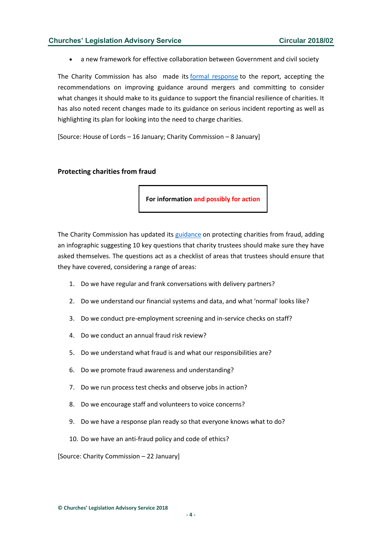a new framework for effective collaboration between Government and civil society

The Charity Commission has also made its [formal response](http://www.parliament.uk/documents/lords-committees/charities/Charities-Charity-Commission-response-040118.pdf) to the report, accepting the recommendations on improving guidance around mergers and committing to consider what changes it should make to its guidance to support the financial resilience of charities. It has also noted recent changes made to its guidance on serious incident reporting as well as highlighting its plan for looking into the need to charge charities.

[Source: House of Lords – 16 January; Charity Commission – 8 January]

#### <span id="page-3-0"></span>**Protecting charities from fraud**

**For information and possibly for action**

The Charity Commission has updated its [guidance](http://www.gov.uk/guidance/protect-your-charity-from-fraud) on protecting charities from fraud, adding an infographic suggesting 10 key questions that charity trustees should make sure they have asked themselves. The questions act as a checklist of areas that trustees should ensure that they have covered, considering a range of areas:

- 1. Do we have regular and frank conversations with delivery partners?
- 2. Do we understand our financial systems and data, and what 'normal' looks like?
- 3. Do we conduct pre-employment screening and in-service checks on staff?
- 4. Do we conduct an annual fraud risk review?
- 5. Do we understand what fraud is and what our responsibilities are?
- 6. Do we promote fraud awareness and understanding?
- 7. Do we run process test checks and observe jobs in action?
- 8. Do we encourage staff and volunteers to voice concerns?
- 9. Do we have a response plan ready so that everyone knows what to do?
- 10. Do we have an anti-fraud policy and code of ethics?

[Source: Charity Commission – 22 January]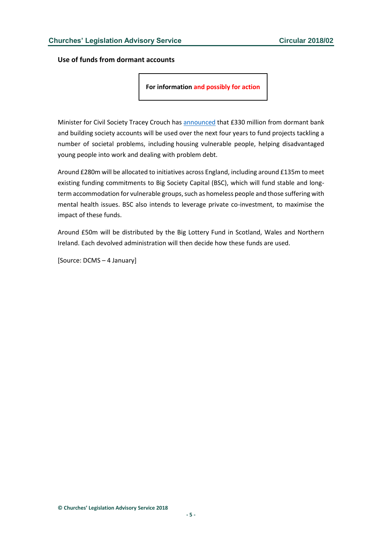<span id="page-4-0"></span>**Use of funds from dormant accounts**

**For information and possibly for action**

Minister for Civil Society Tracey Crouch has [announced](http://www.gov.uk/government/news/government-unlocking-330-million-from-dormant-accounts-to-build-a-fairer-society) that £330 million from dormant bank and building society accounts will be used over the next four years to fund projects tackling a number of societal problems, including housing vulnerable people, helping disadvantaged young people into work and dealing with problem debt.

Around £280m will be allocated to initiatives across England, including around £135m to meet existing funding commitments to Big Society Capital (BSC), which will fund stable and longterm accommodation for vulnerable groups, such as homeless people and those suffering with mental health issues. BSC also intends to leverage private co-investment, to maximise the impact of these funds.

Around £50m will be distributed by the Big Lottery Fund in Scotland, Wales and Northern Ireland. Each devolved administration will then decide how these funds are used.

[Source: DCMS – 4 January]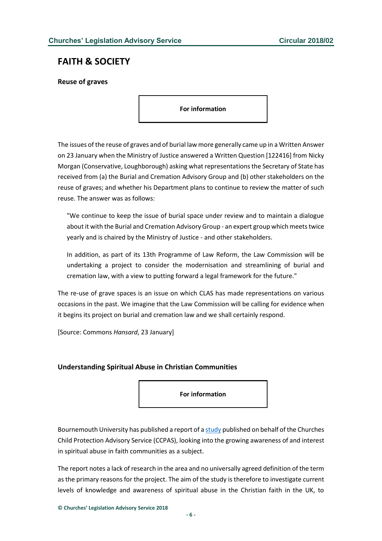# <span id="page-5-0"></span>**FAITH & SOCIETY**

<span id="page-5-1"></span>**Reuse of graves**

**For information**

The issues of the reuse of graves and of burial law more generally came up in a Written Answer on 23 January when the Ministry of Justice answered a Written Question [122416] from Nicky Morgan (Conservative, Loughborough) asking what representations the Secretary of State has received from (a) the Burial and Cremation Advisory Group and (b) other stakeholders on the reuse of graves; and whether his Department plans to continue to review the matter of such reuse. The answer was as follows:

"We continue to keep the issue of burial space under review and to maintain a dialogue about it with the Burial and Cremation Advisory Group - an expert group which meets twice yearly and is chaired by the Ministry of Justice - and other stakeholders.

In addition, as part of its 13th Programme of Law Reform, the Law Commission will be undertaking a project to consider the modernisation and streamlining of burial and cremation law, with a view to putting forward a legal framework for the future."

The re-use of grave spaces is an issue on which CLAS has made representations on various occasions in the past. We imagine that the Law Commission will be calling for evidence when it begins its project on burial and cremation law and we shall certainly respond.

[Source: Commons *Hansard*, 23 January]

# <span id="page-5-2"></span>**Understanding Spiritual Abuse in Christian Communities**

**For information**

Bournemouth University has published a report of [a study](http://files.ccpas.co.uk/documents/SpiritualAbuseSummaryDocument.pdf) published on behalf of the Churches Child Protection Advisory Service (CCPAS), looking into the growing awareness of and interest in spiritual abuse in faith communities as a subject.

The report notes a lack of research in the area and no universally agreed definition of the term as the primary reasons for the project. The aim of the study is therefore to investigate current levels of knowledge and awareness of spiritual abuse in the Christian faith in the UK, to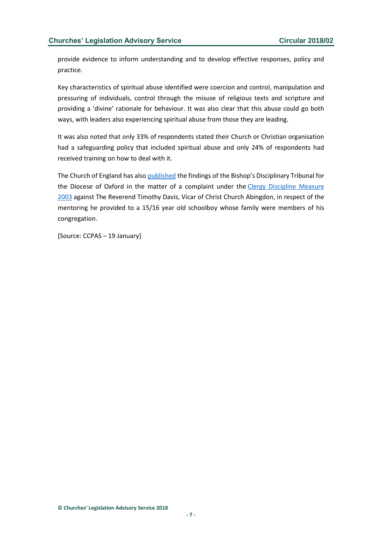provide evidence to inform understanding and to develop effective responses, policy and practice.

Key characteristics of spiritual abuse identified were coercion and control, manipulation and pressuring of individuals, control through the misuse of religious texts and scripture and providing a 'divine' rationale for behaviour. It was also clear that this abuse could go both ways, with leaders also experiencing spiritual abuse from those they are leading.

It was also noted that only 33% of respondents stated their Church or Christian organisation had a safeguarding policy that included spiritual abuse and only 24% of respondents had received training on how to deal with it.

The Church of England has also [published](https://www.churchofengland.org/sites/default/files/2018-01/TD%20Judgement%20final%2020181228.pdf) the findings of the Bishop's Disciplinary Tribunal for the Diocese of Oxford in the matter of a complaint under the [Clergy Discipline Measure](https://www.legislation.gov.uk/ukcm/2003/3/contents)  [2003](https://www.legislation.gov.uk/ukcm/2003/3/contents) against The Reverend Timothy Davis, Vicar of Christ Church Abingdon, in respect of the mentoring he provided to a 15/16 year old schoolboy whose family were members of his congregation.

[Source: CCPAS – 19 January]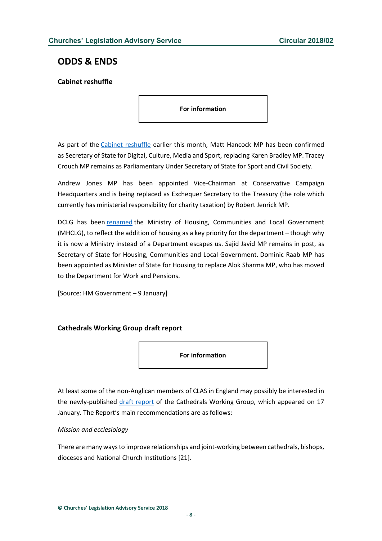# <span id="page-7-0"></span>**ODDS & ENDS**

# <span id="page-7-1"></span>**Cabinet reshuffle**

**For information**

As part of the [Cabinet reshuffle](http://www.parliament.uk/mps-lords-and-offices/government-and-opposition1/her-majestys-government/) earlier this month, Matt Hancock MP has been confirmed as Secretary of State for Digital, Culture, Media and Sport, replacing Karen Bradley MP. Tracey Crouch MP remains as Parliamentary Under Secretary of State for Sport and Civil Society.

Andrew Jones MP has been appointed Vice-Chairman at Conservative Campaign Headquarters and is being replaced as Exchequer Secretary to the Treasury (the role which currently has ministerial responsibility for charity taxation) by Robert Jenrick MP.

DCLG has been [renamed](http://www.gov.uk/government/news/government-renews-focus-on-housing-with-ministry-of-housing-communities-and-local-government) the Ministry of Housing, Communities and Local Government (MHCLG), to reflect the addition of housing as a key priority for the department – though why it is now a Ministry instead of a Department escapes us. Sajid Javid MP remains in post, as Secretary of State for Housing, Communities and Local Government. Dominic Raab MP has been appointed as Minister of State for Housing to replace Alok Sharma MP, who has moved to the Department for Work and Pensions.

[Source: HM Government – 9 January]

# <span id="page-7-2"></span>**Cathedrals Working Group draft report**

**For information**

At least some of the non-Anglican members of CLAS in England may possibly be interested in the newly-published [draft report](https://www.churchofengland.org/sites/default/files/2018-01/Cathedrals%20Working%20Group%20Report_0.pdf) of the Cathedrals Working Group, which appeared on 17 January. The Report's main recommendations are as follows:

## *Mission and ecclesiology*

There are many ways to improve relationships and joint-working between cathedrals, bishops, dioceses and National Church Institutions [21].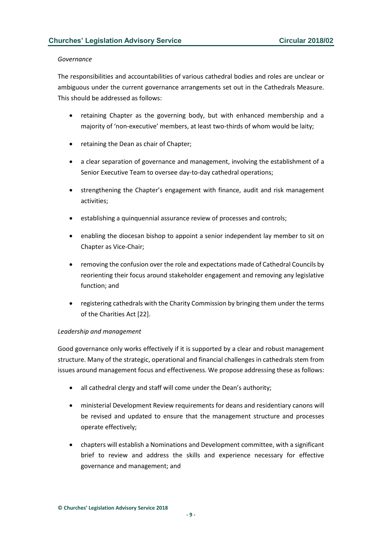#### *Governance*

The responsibilities and accountabilities of various cathedral bodies and roles are unclear or ambiguous under the current governance arrangements set out in the Cathedrals Measure. This should be addressed as follows:

- retaining Chapter as the governing body, but with enhanced membership and a majority of 'non-executive' members, at least two-thirds of whom would be laity;
- retaining the Dean as chair of Chapter;
- a clear separation of governance and management, involving the establishment of a Senior Executive Team to oversee day-to-day cathedral operations;
- strengthening the Chapter's engagement with finance, audit and risk management activities;
- establishing a quinquennial assurance review of processes and controls;
- enabling the diocesan bishop to appoint a senior independent lay member to sit on Chapter as Vice-Chair;
- removing the confusion over the role and expectations made of Cathedral Councils by reorienting their focus around stakeholder engagement and removing any legislative function; and
- registering cathedrals with the Charity Commission by bringing them under the terms of the Charities Act [22].

## *Leadership and management*

Good governance only works effectively if it is supported by a clear and robust management structure. Many of the strategic, operational and financial challenges in cathedrals stem from issues around management focus and effectiveness. We propose addressing these as follows:

- all cathedral clergy and staff will come under the Dean's authority;
- ministerial Development Review requirements for deans and residentiary canons will be revised and updated to ensure that the management structure and processes operate effectively;
- chapters will establish a Nominations and Development committee, with a significant brief to review and address the skills and experience necessary for effective governance and management; and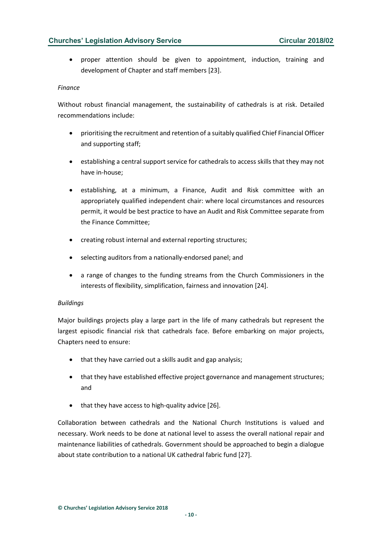• proper attention should be given to appointment, induction, training and development of Chapter and staff members [23].

#### *Finance*

Without robust financial management, the sustainability of cathedrals is at risk. Detailed recommendations include:

- prioritising the recruitment and retention of a suitably qualified Chief Financial Officer and supporting staff;
- establishing a central support service for cathedrals to access skills that they may not have in-house;
- establishing, at a minimum, a Finance, Audit and Risk committee with an appropriately qualified independent chair: where local circumstances and resources permit, it would be best practice to have an Audit and Risk Committee separate from the Finance Committee;
- creating robust internal and external reporting structures;
- selecting auditors from a nationally-endorsed panel; and
- a range of changes to the funding streams from the Church Commissioners in the interests of flexibility, simplification, fairness and innovation [24].

## *Buildings*

Major buildings projects play a large part in the life of many cathedrals but represent the largest episodic financial risk that cathedrals face. Before embarking on major projects, Chapters need to ensure:

- that they have carried out a skills audit and gap analysis;
- that they have established effective project governance and management structures; and
- that they have access to high-quality advice [26].

Collaboration between cathedrals and the National Church Institutions is valued and necessary. Work needs to be done at national level to assess the overall national repair and maintenance liabilities of cathedrals. Government should be approached to begin a dialogue about state contribution to a national UK cathedral fabric fund [27].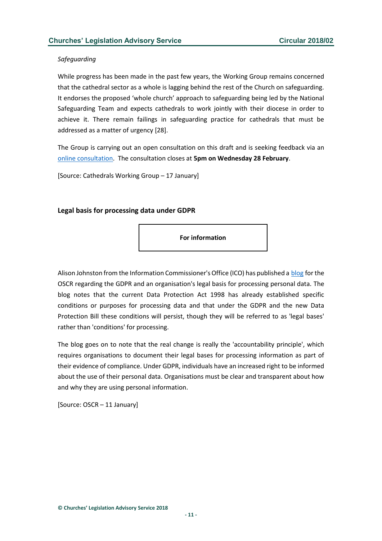#### *Safeguarding*

While progress has been made in the past few years, the Working Group remains concerned that the cathedral sector as a whole is lagging behind the rest of the Church on safeguarding. It endorses the proposed 'whole church' approach to safeguarding being led by the National Safeguarding Team and expects cathedrals to work jointly with their diocese in order to achieve it. There remain failings in safeguarding practice for cathedrals that must be addressed as a matter of urgency [28].

The Group is carrying out an open consultation on this draft and is seeking feedback via an online [consultation.](https://www.churchofengland.org/about/our-cathedrals/cathedrals-working-group) The consultation closes at **5pm on Wednesday 28 February**.

[Source: Cathedrals Working Group – 17 January]

## <span id="page-10-0"></span>**Legal basis for processing data under GDPR**

**For information**

Alison Johnston from the Information Commissioner's Office (ICO) has published a [blog](http://www.oscr.org.uk/blog/2018/january/09/gdpr-legal-basis-for-processing-and-transparency) for the OSCR regarding the GDPR and an organisation's legal basis for processing personal data. The blog notes that the current Data Protection Act 1998 has already established specific conditions or purposes for processing data and that under the GDPR and the new Data Protection Bill these conditions will persist, though they will be referred to as 'legal bases' rather than 'conditions' for processing.

The blog goes on to note that the real change is really the 'accountability principle', which requires organisations to document their legal bases for processing information as part of their evidence of compliance. Under GDPR, individuals have an increased right to be informed about the use of their personal data. Organisations must be clear and transparent about how and why they are using personal information.

[Source: OSCR – 11 January]